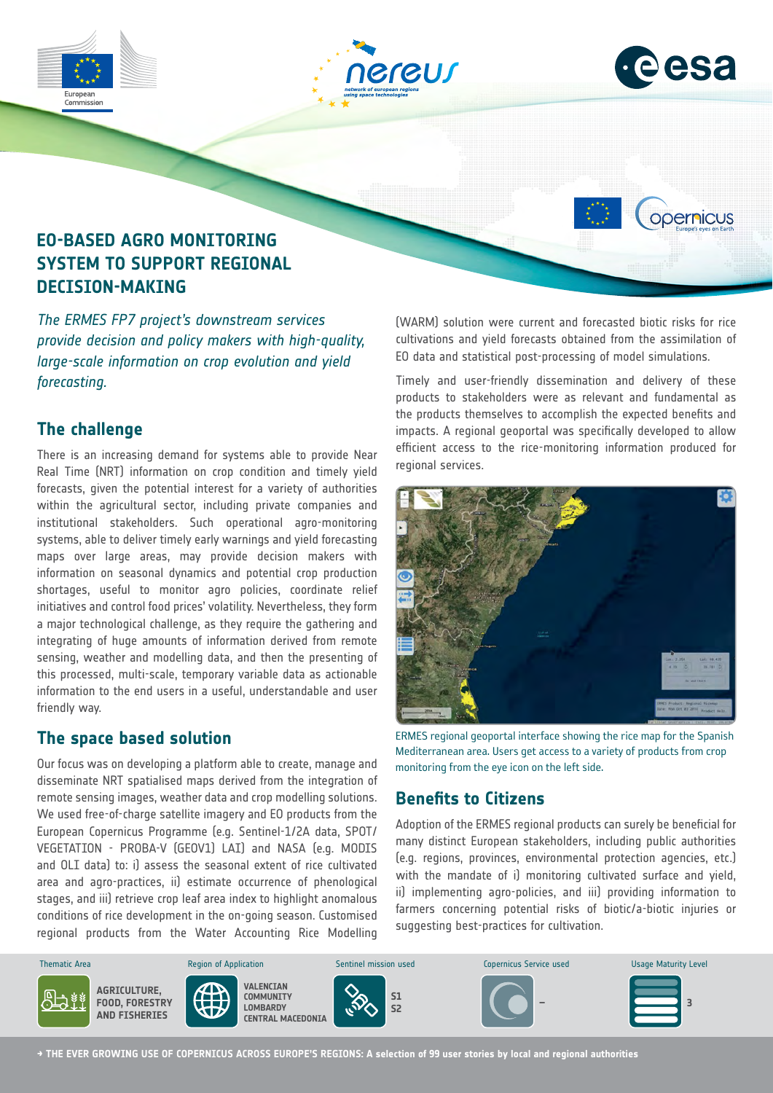

# **The challenge**

*forecasting.*

There is an increasing demand for systems able to provide Near Real Time (NRT) information on crop condition and timely yield forecasts, given the potential interest for a variety of authorities within the agricultural sector, including private companies and institutional stakeholders. Such operational agro-monitoring systems, able to deliver timely early warnings and yield forecasting maps over large areas, may provide decision makers with information on seasonal dynamics and potential crop production shortages, useful to monitor agro policies, coordinate relief initiatives and control food prices' volatility. Nevertheless, they form a major technological challenge, as they require the gathering and integrating of huge amounts of information derived from remote sensing, weather and modelling data, and then the presenting of this processed, multi-scale, temporary variable data as actionable information to the end users in a useful, understandable and user friendly way.

## **The space based solution**

Our focus was on developing a platform able to create, manage and disseminate NRT spatialised maps derived from the integration of remote sensing images, weather data and crop modelling solutions. We used free-of-charge satellite imagery and EO products from the European Copernicus Programme (e.g. Sentinel-1/2A data, SPOT/ VEGETATION - PROBA-V (GEOV1) LAI) and NASA (e.g. MODIS and OLI data) to: i) assess the seasonal extent of rice cultivated area and agro-practices, ii) estimate occurrence of phenological stages, and iii) retrieve crop leaf area index to highlight anomalous conditions of rice development in the on-going season. Customised regional products from the Water Accounting Rice Modelling Timely and user-friendly dissemination and delivery of these products to stakeholders were as relevant and fundamental as the products themselves to accomplish the expected benefits and impacts. A regional geoportal was specifically developed to allow efficient access to the rice-monitoring information produced for regional services.



ERMES regional geoportal interface showing the rice map for the Spanish Mediterranean area. Users get access to a variety of products from crop monitoring from the eye icon on the left side.

# **Benefits to Citizens**

Adoption of the ERMES regional products can surely be beneficial for many distinct European stakeholders, including public authorities (e.g. regions, provinces, environmental protection agencies, etc.) with the mandate of i) monitoring cultivated surface and yield, ii) implementing agro-policies, and iii) providing information to farmers concerning potential risks of biotic/a-biotic injuries or suggesting best-practices for cultivation.



**→ THE EVER GROWING USE OF COPERNICUS ACROSS EUROPE'S REGIONS: A selection of 99 user stories by local and regional authorities**